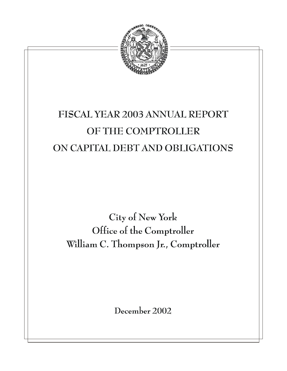

# FISCAL YEAR 2003 ANNUAL REPORT OF THE COMPTROLLER ON CAPITAL DEBT AND OBLIGATIONS

City of New York Office of the Comptroller William C. Thompson Jr., Comptroller

December 2002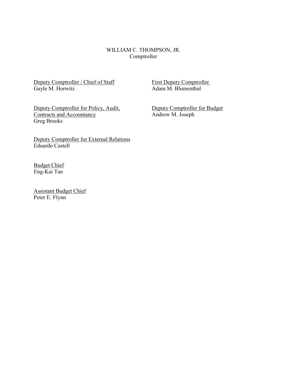## WILLIAM C. THOMPSON, JR. Comptroller

Deputy Comptroller / Chief of Staff First Deputy Comptroller<br>Gayle M. Horwitz Adam M. Blumenthal

Adam M. Blumenthal

Deputy Comptroller for Policy, Audit,<br>
Deputy Comptroller for Budget<br>
Andrew M. Joseph Contracts and Accountancy Greg Brooks

Deputy Comptroller for External Relations Eduardo Castell

Budget Chief Eng-Kai Tan

Assistant Budget Chief Peter E. Flynn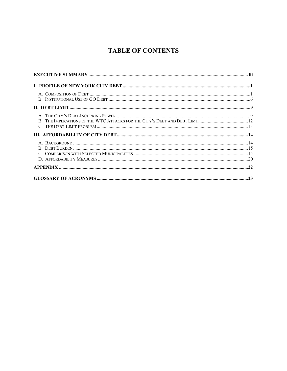# **TABLE OF CONTENTS**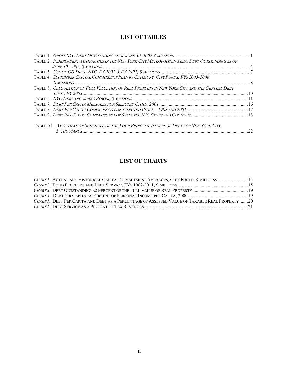## **LIST OF TABLES**

| TABLE 2. INDEPENDENT AUTHORITIES IN THE NEW YORK CITY METROPOLITAN AREA, DEBT OUTSTANDING AS OF |  |
|-------------------------------------------------------------------------------------------------|--|
|                                                                                                 |  |
|                                                                                                 |  |
| <b>TABLE 4. SEPTEMBER CAPITAL COMMITMENT PLAN BY CATEGORY. CITY FUNDS. FYS 2003-2006</b>        |  |
|                                                                                                 |  |
| TABLE 5. CALCULATION OF FULL VALUATION OF REAL PROPERTY IN NEW YORK CITY AND THE GENERAL DEBT   |  |
|                                                                                                 |  |
|                                                                                                 |  |
|                                                                                                 |  |
|                                                                                                 |  |
|                                                                                                 |  |
|                                                                                                 |  |
| TABLE A1. AMORTIZATION SCHEDULE OF THE FOUR PRINCIPAL ISSUERS OF DEBT FOR NEW YORK CITY.        |  |
|                                                                                                 |  |

## **LIST OF CHARTS**

| CHART 1. ACTUAL AND HISTORICAL CAPITAL COMMITMENT AVERAGES, CITY FUNDS, \$ MILLIONS 14          |  |
|-------------------------------------------------------------------------------------------------|--|
|                                                                                                 |  |
|                                                                                                 |  |
|                                                                                                 |  |
| CHART 5. DEBT PER CAPITA AND DEBT AS A PERCENTAGE OF ASSESSED VALUE OF TAXABLE REAL PROPERTY 20 |  |
|                                                                                                 |  |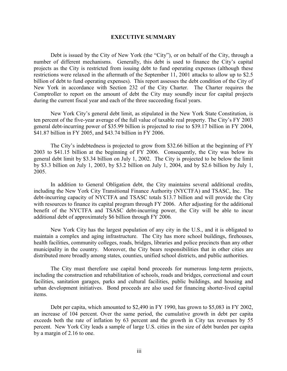## <span id="page-4-0"></span>**EXECUTIVE SUMMARY**

Debt is issued by the City of New York (the "City"), or on behalf of the City, through a number of different mechanisms. Generally, this debt is used to finance the City's capital projects as the City is restricted from issuing debt to fund operating expenses (although these restrictions were relaxed in the aftermath of the September 11, 2001 attacks to allow up to \$2.5 billion of debt to fund operating expenses). This report assesses the debt condition of the City of New York in accordance with Section 232 of the City Charter. The Charter requires the Comptroller to report on the amount of debt the City may soundly incur for capital projects during the current fiscal year and each of the three succeeding fiscal years.

New York City's general debt limit, as stipulated in the New York State Constitution, is ten percent of the five-year average of the full value of taxable real property. The City's FY 2003 general debt-incurring power of \$35.99 billion is projected to rise to \$39.17 billion in FY 2004, \$41.87 billion in FY 2005, and \$43.74 billion in FY 2006.

The City's indebtedness is projected to grow from \$32.66 billion at the beginning of FY 2003 to \$41.15 billion at the beginning of FY 2006. Consequently, the City was below its general debt limit by \$3.34 billion on July 1, 2002. The City is projected to be below the limit by \$3.3 billion on July 1, 2003, by \$3.2 billion on July 1, 2004, and by \$2.6 billion by July 1, 2005.

In addition to General Obligation debt, the City maintains several additional credits, including the New York City Transitional Finance Authority (NYCTFA) and TSASC, Inc. The debt-incurring capacity of NYCTFA and TSASC totals \$13.7 billion and will provide the City with resources to finance its capital program through FY 2006. After adjusting for the additional benefit of the NYCTFA and TSASC debt-incurring power, the City will be able to incur additional debt of approximately \$6 billion through FY 2006*.*

New York City has the largest population of any city in the U.S., and it is obligated to maintain a complex and aging infrastructure. The City has more school buildings, firehouses, health facilities, community colleges, roads, bridges, libraries and police precincts than any other municipality in the country. Moreover, the City bears responsibilities that in other cities are distributed more broadly among states, counties, unified school districts, and public authorities.

The City must therefore use capital bond proceeds for numerous long-term projects, including the construction and rehabilitation of schools, roads and bridges, correctional and court facilities, sanitation garages, parks and cultural facilities, public buildings, and housing and urban development initiatives. Bond proceeds are also used for financing shorter-lived capital items.

Debt per capita, which amounted to \$2,490 in FY 1990, has grown to \$5,083 in FY 2002, an increase of 104 percent. Over the same period, the cumulative growth in debt per capita exceeds both the rate of inflation by 63 percent and the growth in City tax revenues by 55 percent. New York City leads a sample of large U.S. cities in the size of debt burden per capita by a margin of 2.16 to one.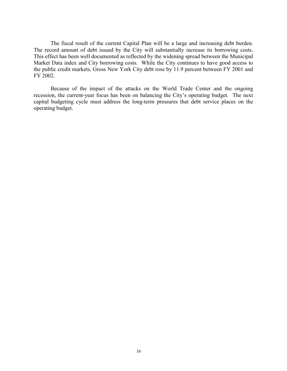The fiscal result of the current Capital Plan will be a large and increasing debt burden. The record amount of debt issued by the City will substantially increase its borrowing costs. This effect has been well documented as reflected by the widening spread between the Municipal Market Data index and City borrowing costs. While the City continues to have good access to the public credit markets, Gross New York City debt rose by 11.9 percent between FY 2001 and FY 2002.

Because of the impact of the attacks on the World Trade Center and the ongoing recession, the current-year focus has been on balancing the City's operating budget. The next capital budgeting cycle must address the long-term pressures that debt service places on the operating budget.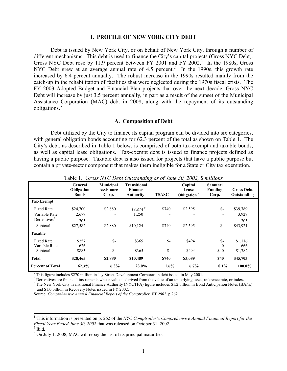#### <span id="page-6-0"></span>**I. PROFILE OF NEW YORK CITY DEBT**

Debt is issued by New York City, or on behalf of New York City, through a number of different mechanisms. This debt is used to finance the City's capital projects (Gross NYC Debt). GrossNYC Debt rose by 11.9 percent between FY 2001 and FY 2002.<sup>1</sup> In the 1980s, Gross NYC Debt grew at an average annual rate of 4.5 percent.<sup>[2](#page-6-4)</sup> In the 1990s, this growth rate increased by 6.4 percent annually. The robust increase in the 1990s resulted mainly from the catch-up in the rehabilitation of facilities that were neglected during the 1970s fiscal crisis. The FY 2003 Adopted Budget and Financial Plan projects that over the next decade, Gross NYC Debt will increase by just 3.5 percent annually, in part as a result of the sunset of the Municipal Assistance Corporation (MAC) debt in 2008, along with the repayment of its outstanding obligations[.3](#page-6-5)

## <span id="page-6-1"></span>**A. Composition of Debt**

Debt utilized by the City to finance its capital program can be divided into six categories, with general obligation bonds accounting for 62.3 percent of the total as shown on Table 1. The City's debt, as described in Table 1 below, is comprised of both tax-exempt and taxable bonds, as well as capital lease obligations. Tax-exempt debt is issued to finance projects defined as having a public purpose. Taxable debt is also issued for projects that have a public purpose but contain a private-sector component that makes them ineligible for a State or City tax exemption.

|                                                                            |                                       |                                         | ה י                                                | $\cdots$ $\cdots$     |                                             |                                 |                                             |
|----------------------------------------------------------------------------|---------------------------------------|-----------------------------------------|----------------------------------------------------|-----------------------|---------------------------------------------|---------------------------------|---------------------------------------------|
|                                                                            | General<br>Obligation<br><b>Bonds</b> | Municipal<br><b>Assistance</b><br>Corp. | <b>Transitional</b><br>Finance<br><b>Authority</b> | <b>TSASC</b>          | Capital<br>Lease<br>Obligation <sup>a</sup> | Samurai<br>Funding<br>Corp.     | <b>Gross Debt</b><br>Outstanding            |
| Tax-Exempt                                                                 |                                       |                                         |                                                    |                       |                                             |                                 |                                             |
| <b>Fixed Rate</b><br>Variable Rate<br>Derivatives <sup>b</sup><br>Subtotal | \$24,700<br>2,677<br>205<br>\$27,582  | \$2,880<br>\$2,880                      | \$8,874 °<br>1,250<br>\$10,124                     | \$740<br>\$740        | \$2,595<br>\$2,595                          | $S-$<br>$\overline{\mathbb{S}}$ | \$39,789<br>3,927<br><u>205</u><br>\$43,921 |
| <b>Taxable</b>                                                             |                                       |                                         |                                                    |                       |                                             |                                 |                                             |
| <b>Fixed Rate</b><br>Variable Rate<br>Subtotal                             | \$257<br>626<br>\$883                 | $S-$<br>$\frac{1}{s}$                   | \$365<br>\$365                                     | $S-$<br>$\frac{1}{s}$ | \$494<br>\$494                              | $S-$<br>$\overline{40}$<br>\$40 | \$1,116<br>666<br>\$1,782                   |
| <b>Total</b>                                                               | \$28,465                              | \$2,880                                 | \$10,489                                           | \$740                 | \$3,089                                     | <b>\$40</b>                     | \$45,703                                    |
| <b>Percent of Total</b>                                                    | 62.3%                                 | 6.3%                                    | 23.0%                                              | 1.6%                  | 6.7%                                        | 0.1%                            | 100.0%                                      |

<span id="page-6-2"></span>Table 1. *Gross NYC Debt Outstanding as of June 30, 2002, \$ millions*

<sup>a</sup> This figure includes \$270 million in Jay Street Development Corporation debt issued in May 2001.

<sup>b</sup> Derivatives are financial instruments whose value is derived from the value of an underlying asset, reference rate, or index.

<sup>c</sup> The New York City Transitional Finance Authority (NYCTFA) figure includes \$1.2 billion in Bond Anticipation Notes (BANs) and \$1.0 billion in Recovery Notes issued in FY 2002.

Source: *Comprehensive Annual Financial Report of the Comptroller, FY 2002*, p.262.

l

<span id="page-6-3"></span><sup>1</sup> This information is presented on p. 262 of the *NYC Comptroller's Comprehensive Annual Financial Report for the Fiscal Year Ended June 30, 2002* that was released on October 31, 2002.<sup>2</sup> Ibid.

<span id="page-6-4"></span>

<span id="page-6-5"></span><sup>&</sup>lt;sup>3</sup> On July 1, 2008, MAC will repay the last of its principal maturities.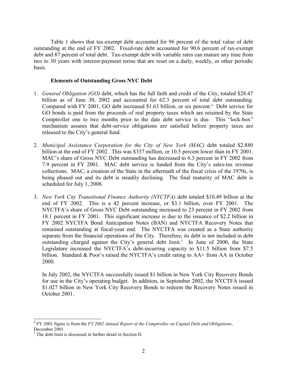Table 1 shows that tax-exempt debt accounted for 96 percent of the total value of debt outstanding at the end of FY 2002. Fixed-rate debt accounted for 90.6 percent of tax-exempt debt and 87 percent of total debt. Tax-exempt debt with variable rates can mature any time from two to 30 years with interest-payment terms that are reset on a daily, weekly, or other periodic basis.

## **Elements of Outstanding Gross NYC Debt**

- 1. *General Obligation (GO)* debt, which has the full faith and credit of the City, totaled \$28.47 billion as of June 30, 2002 and accounted for 62.3 percent of total debt outstanding. Comparedwith FY 2001, GO debt increased \$1.63 billion, or six percent.<sup>4</sup> Debt service for GO bonds is paid from the proceeds of real property taxes which are retained by the State Comptroller one to two months prior to the date debt service is due. This "lock-box" mechanism assures that debt-service obligations are satisfied before property taxes are released to the City's general fund.
- 2. *Municipal Assistance Corporation for the City of New York (MAC)* debt totaled \$2.880 billion at the end of FY 2002. This was \$337 million, or 10.5 percent lower than in FY 2001. MAC's share of Gross NYC Debt outstanding has decreased to 6.3 percent in FY 2002 from 7.9 percent in FY 2001. MAC debt service is funded from the City's sales-tax revenue collections. MAC, a creation of the State in the aftermath of the fiscal crisis of the 1970s, is being phased out and its debt is steadily declining. The final maturity of MAC debt is scheduled for July 1, 2008.
- 3. *New York City Transitional Finance Authority (NYCTFA)* debt totaled \$10.49 billion at the end of FY 2002. This is a 42 percent increase, or \$3.1 billion, over FY 2001. The NYCTFA's share of Gross NYC Debt outstanding increased to 23 percent in FY 2002 from 18.1 percent in FY 2001. This significant increase is due to the issuance of \$2.2 billion in FY 2002 NYCTFA Bond Anticipation Notes (BAN) and NYCTFA Recovery Notes that remained outstanding at fiscal-year end. The NYCTFA was created as a State authority separate from the financial operations of the City. Therefore, its debt is not included in debt outstanding charged against the City's general debt limit.<sup>5</sup> In June of 2000, the State Legislature increased the NYCTFA's debt-incurring capacity to \$11.5 billion from \$7.5 billion. Standard & Poor's raised the NYCTFA's credit rating to AA+ from AA in October 2000.

In July 2002, the NYCTFA successfully issued \$1 billion in New York City Recovery Bonds for use in the City's operating budget. In addition, in September 2002, the NYCTFA issued \$1.027 billion in New York City Recovery Bonds to redeem the Recovery Notes issued in October 2001.

<span id="page-7-0"></span> $\overline{a}$ <sup>4</sup> FY 2001 figure is from the *FY 2002 Annual Report of the Comptroller on Capital Debt and Obligations*, December 2001.

<span id="page-7-1"></span><sup>5</sup> The debt limit is discussed in further detail in Section II.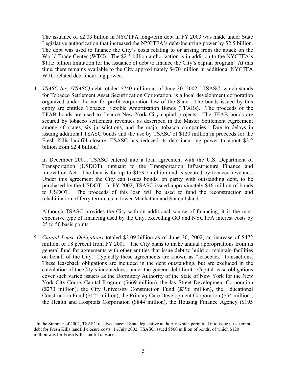The issuance of \$2.03 billion in NYCTFA long-term debt in FY 2003 was made under State Legislative authorization that increased the NYCTFA's debt-incurring power by \$2.5 billion. The debt was used to finance the City's costs relating to or arising from the attack on the World Trade Center (WTC). The \$2.5 billion authorization is in addition to the NYCTFA's \$11.5 billion limitation for the issuance of debt to finance the City's capital program. At this time, there remains available to the City approximately \$470 million in additional NYCTFA WTC-related debt-incurring power.

4. *TSASC Inc. (TSASC)* debt totaled \$740 million as of June 30, 2002. TSASC, which stands for Tobacco Settlement Asset Securitization Corporation, is a local development corporation organized under the not-for-profit corporation law of the State. The bonds issued by this entity are entitled Tobacco Flexible Amortization Bonds (TFABs). The proceeds of the TFAB bonds are used to finance New York City capital projects. The TFAB bonds are secured by tobacco settlement revenues as described in the Master Settlement Agreement among 46 states, six jurisdictions, and the major tobacco companies. Due to delays in issuing additional TSASC bonds and the use by TSASC of \$120 million in proceeds for the Fresh Kills landfill closure, TSASC has reduced its debt-incurring power to about \$2.2 billion from \$2.4 billion.<sup>6</sup>

In December 2001, TSASC entered into a loan agreement with the U.S. Department of Transportation (USDOT) pursuant to the Transportation Infrastructure Finance and Innovation Act. The loan is for up to \$159.2 million and is secured by tobacco revenues. Under this agreement the City can issues bonds, on parity with outstanding debt, to be purchased by the USDOT. In FY 2002, TSASC issued approximately \$46 million of bonds to USDOT. The proceeds of this loan will be used to fund the reconstruction and rehabilitation of ferry terminals in lower Manhattan and Staten Island.

Although TSASC provides the City with an additional source of financing, it is the most expensive type of financing used by the City, exceeding GO and NYCTFA interest costs by 25 to 50 basis points.

5. *Capital Lease Obligations* totaled \$3.09 billion as of June 30, 2002, an increase of \$472 million, or 18 percent from FY 2001. The City plans to make annual appropriations from its general fund for agreements with other entities that issue debt to build or maintain facilities on behalf of the City. Typically these agreements are known as "leaseback" transactions. These leaseback obligations are included in the debt outstanding, but are excluded in the calculation of the City's indebtedness under the general debt limit. Capital lease obligations cover such varied issuers as the Dormitory Authority of the State of New York for the New York City Courts Capital Program (\$669 million), the Jay Street Development Corporation (\$270 million), the City University Construction Fund (\$396 million), the Educational Construction Fund (\$125 million), the Primary Care Development Corporation (\$54 million), the Health and Hospitals Corporation (\$844 million), the Housing Finance Agency (\$195

<span id="page-8-0"></span> $\overline{a}$ <sup>6</sup> In the Summer of 2002, TSASC received special State legislative authority which permitted it to issue tax-exempt debt for Fresh Kills landfill closure costs. In July 2002, TSASC issued \$500 million of bonds, of which \$120 million was for Fresh Kills landfill closure.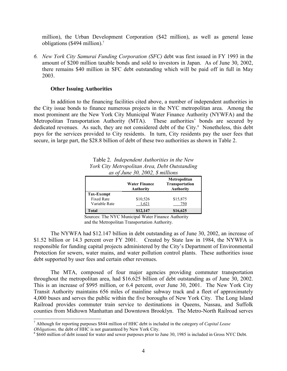million), the Urban Development Corporation (\$42 million), as well as general lease obligations (\$494 million).<sup>7</sup>

*6. New York City Samurai Funding Corporation (SFC)* debt was first issued in FY 1993 in the amount of \$200 million taxable bonds and sold to investors in Japan. As of June 30, 2002, there remains \$40 million in SFC debt outstanding which will be paid off in full in May 2003.

## **Other Issuing Authorities**

 $\overline{a}$ 

In addition to the financing facilities cited above, a number of independent authorities in the City issue bonds to finance numerous projects in the NYC metropolitan area. Among the most prominent are the New York City Municipal Water Finance Authority (NYWFA) and the Metropolitan Transportation Authority (MTA). These authorities' bonds are secured by dedicated revenues. As such, they are not considered debt of the City.<sup>8</sup> Nonetheless, this debt pays for the services provided to City residents. In turn, City residents pay the user fees that secure, in large part, the \$28.8 billion of debt of these two authorities as shown in Table 2.

<span id="page-9-0"></span>

| Table 2. Independent Authorities in the New   |
|-----------------------------------------------|
| York City Metropolitan Area, Debt Outstanding |
| as of June 30, 2002, $\delta$ millions        |

|                                                  | <b>Water Finance</b><br><b>Authority</b> | Metropolitan<br>Transportation<br><b>Authority</b> |
|--------------------------------------------------|------------------------------------------|----------------------------------------------------|
| Tax-Exempt<br><b>Fixed Rate</b><br>Variable Rate | \$10,526<br>1.621                        | \$15,875<br>750                                    |
| Total                                            | \$12,147                                 | \$16,625                                           |

Sources: The NYC Municipal Water Finance Authority and the Metropolitan Transportation Authority.

The NYWFA had \$12.147 billion in debt outstanding as of June 30, 2002, an increase of \$1.52 billion or 14.3 percent over FY 2001. Created by State law in 1984, the NYWFA is responsible for funding capital projects administered by the City's Department of Environmental Protection for sewers, water mains, and water pollution control plants. These authorities issue debt supported by user fees and certain other revenues.

The MTA, composed of four major agencies providing commuter transportation throughout the metropolitan area, had \$16.625 billion of debt outstanding as of June 30, 2002. This is an increase of \$995 million, or 6.4 percent, over June 30, 2001. The New York City Transit Authority maintains 656 miles of mainline subway track and a fleet of approximately 4,000 buses and serves the public within the five boroughs of New York City. The Long Island Railroad provides commuter train service to destinations in Queens, Nassau, and Suffolk counties from Midtown Manhattan and Downtown Brooklyn. The Metro-North Railroad serves

<span id="page-9-1"></span><sup>7</sup> Although for reporting purposes \$844 million of HHC debt is included in the category of *Capital Lease*

<span id="page-9-2"></span><sup>&</sup>lt;sup>8</sup> \$660 million of debt issued for water and sewer purposes prior to June 30, 1985 is included in Gross NYC Debt.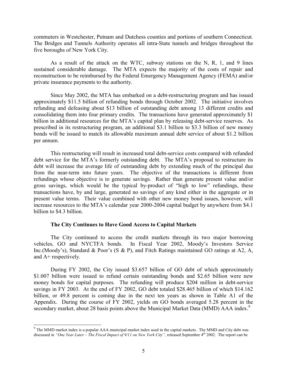commuters in Westchester, Putnam and Dutchess counties and portions of southern Connecticut. The Bridges and Tunnels Authority operates all intra-State tunnels and bridges throughout the five boroughs of New York City.

As a result of the attack on the WTC, subway stations on the N, R, 1, and 9 lines sustained considerable damage. The MTA expects the majority of the costs of repair and reconstruction to be reimbursed by the Federal Emergency Management Agency (FEMA) and/or private insurance payments to the authority.

Since May 2002, the MTA has embarked on a debt-restructuring program and has issued approximately \$11.5 billion of refunding bonds through October 2002. The initiative involves refunding and defeasing about \$13 billion of outstanding debt among 13 different credits and consolidating them into four primary credits. The transactions have generated approximately \$1 billion in additional resources for the MTA's capital plan by releasing debt-service reserves. As prescribed in its restructuring program, an additional \$3.1 billion to \$3.3 billion of new money bonds will be issued to match its allowable maximum annual debt service of about \$1.2 billion per annum.

This restructuring will result in increased total debt-service costs compared with refunded debt service for the MTA's formerly outstanding debt. The MTA's proposal to restructure its debt will increase the average life of outstanding debt by extending much of the principal due from the near-term into future years. The objective of the transactions is different from refundings whose objective is to generate savings. Rather than generate present value and/or gross savings, which would be the typical by-product of "high to low" refundings, these transactions have, by and large, generated no savings of any kind either in the aggregate or in present value terms. Their value combined with other new money bond issues, however, will increase resources to the MTA's calendar year 2000-2004 capital budget by anywhere from \$4.1 billion to \$4.3 billion.

## **The City Continues to Have Good Access to Capital Markets**

The City continued to access the credit markets through its two major borrowing vehicles, GO and NYCTFA bonds. In Fiscal Year 2002, Moody's Investors Service Inc.(Moody's), Standard & Poor's (S & P), and Fitch Ratings maintained GO ratings at A2, A, and A+ respectively.

During FY 2002, the City issued \$3.657 billion of GO debt of which approximately \$1.007 billion were issued to refund certain outstanding bonds and \$2.65 billion were new money bonds for capital purposes. The refunding will produce \$204 million in debt-service savings in FY 2003. At the end of FY 2002, GO debt totaled \$28.465 billion of which \$14.162 billion, or 49.8 percent is coming due in the next ten years as shown in Table A1 of the Appendix. During the course of FY 2002, yields on GO bonds averaged 5.28 percent in the secondarymarket, about 28 basis points above the Municipal Market Data (MMD) AAA index.<sup>9</sup>

<span id="page-10-0"></span><sup>&</sup>lt;sup>9</sup> The MMD market index is a popular AAA municipal market index used in the capital markets. The MMD and City debt was discussed in "One Year Later – The Fiscal Impact of 9/11 on New York City", released September 4<sup>th</sup> 2002. The report can be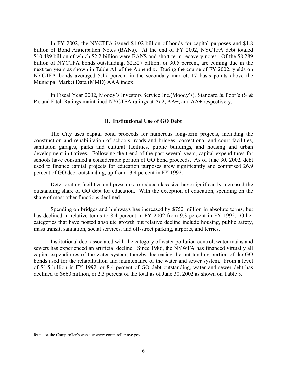In FY 2002, the NYCTFA issued \$1.02 billion of bonds for capital purposes and \$1.8 billion of Bond Anticipation Notes (BANs). At the end of FY 2002, NYCTFA debt totaled \$10.489 billion of which \$2.2 billion were BANS and short-term recovery notes. Of the \$8.289 billion of NYCTFA bonds outstanding, \$2.527 billion, or 30.5 percent, are coming due in the next ten years as shown in Table A1 of the Appendix. During the course of FY 2002, yields on NYCTFA bonds averaged 5.17 percent in the secondary market, 17 basis points above the Municipal Market Data (MMD) AAA index.

In Fiscal Year 2002, Moody's Investors Service Inc.(Moody's), Standard & Poor's (S & P), and Fitch Ratings maintained NYCTFA ratings at Aa2, AA+, and AA+ respectively.

## <span id="page-11-0"></span>**B. Institutional Use of GO Debt**

The City uses capital bond proceeds for numerous long-term projects, including the construction and rehabilitation of schools, roads and bridges, correctional and court facilities, sanitation garages, parks and cultural facilities, public buildings, and housing and urban development initiatives. Following the trend of the past several years, capital expenditures for schools have consumed a considerable portion of GO bond proceeds. As of June 30, 2002, debt used to finance capital projects for education purposes grew significantly and comprised 26.9 percent of GO debt outstanding, up from 13.4 percent in FY 1992.

Deteriorating facilities and pressures to reduce class size have significantly increased the outstanding share of GO debt for education. With the exception of education, spending on the share of most other functions declined.

Spending on bridges and highways has increased by \$752 million in absolute terms, but has declined in relative terms to 8.4 percent in FY 2002 from 9.3 percent in FY 1992. Other categories that have posted absolute growth but relative decline include housing, public safety, mass transit, sanitation, social services, and off-street parking, airports, and ferries.

Institutional debt associated with the category of water pollution control, water mains and sewers has experienced an artificial decline. Since 1986, the NYWFA has financed virtually all capital expenditures of the water system, thereby decreasing the outstanding portion of the GO bonds used for the rehabilitation and maintenance of the water and sewer system. From a level of \$1.5 billion in FY 1992, or 8.4 percent of GO debt outstanding, water and sewer debt has declined to \$660 million, or 2.3 percent of the total as of June 30, 2002 as shown on Table 3.

l

found on the Comptroller's website: www.comptroller.nyc.gov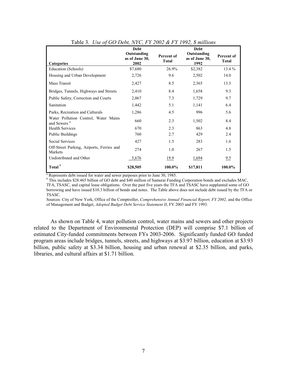|                                                                 | <b>Debt</b>                           |                            | <b>Debt</b>                           |                            |
|-----------------------------------------------------------------|---------------------------------------|----------------------------|---------------------------------------|----------------------------|
| <b>Categories</b>                                               | Outstanding<br>as of June 30,<br>2002 | Percent of<br><b>Total</b> | Outstanding<br>as of June 30,<br>1992 | Percent of<br><b>Total</b> |
| Education (Schools)                                             | \$7,680                               | 26.9%                      | \$2,382                               | $13.4\%$                   |
| Housing and Urban Development                                   | 2,726                                 | 9.6                        | 2,502                                 | 14.0                       |
| Mass Transit                                                    | 2,427                                 | 8.5                        | 2,365                                 | 13.3                       |
| Bridges, Tunnels, Highways and Streets                          | 2,410                                 | 8.4                        | 1,658                                 | 9.3                        |
| Public Safety, Correction and Courts                            | 2,067                                 | 7.3                        | 1,729                                 | 9.7                        |
| Sanitation                                                      | 1,442                                 | 5.1                        | 1,141                                 | 6.4                        |
| Parks, Recreation and Culturals                                 | 1,286                                 | 4.5                        | 996                                   | 5.6                        |
| Water Pollution Control, Water Mains<br>and Sewers <sup>a</sup> | 660                                   | 2.3                        | 1,502                                 | 8.4                        |
| <b>Health Services</b>                                          | 670                                   | 2.3                        | 863                                   | 4.8                        |
| <b>Public Buildings</b>                                         | 760                                   | 2.7                        | 429                                   | 2.4                        |
| <b>Social Services</b>                                          | 427                                   | 1.5                        | 283                                   | 1.6                        |
| Off-Street Parking, Airports, Ferries and<br>Markets            | 274                                   | 1.0                        | 267                                   | 1.5                        |
| Undistributed and Other                                         | 5,676                                 | <u>19.9</u>                | 1,694                                 | 9.5                        |
| Total <sup>b</sup>                                              | \$28,505                              | 100.0%                     | \$17,811                              | 100.0%                     |

<span id="page-12-0"></span>

| Table 3. Use of GO Debt, NYC, FY 2002 & FY 1992, \$ millions |  |  |  |  |  |  |  |  |  |  |  |  |  |  |  |  |  |  |  |
|--------------------------------------------------------------|--|--|--|--|--|--|--|--|--|--|--|--|--|--|--|--|--|--|--|
|--------------------------------------------------------------|--|--|--|--|--|--|--|--|--|--|--|--|--|--|--|--|--|--|--|

<sup>a</sup> Represents debt issued for water and sewer purposes prior to June 30, 1985.

<sup>b</sup> This includes \$28.465 billion of GO debt and \$40 million of Samurai Funding Corporation bonds and excludes MAC, TFA, TSASC, and capital lease obligations. Over the past five years the TFA and TSASC have supplanted some of GO borrowing and have issued \$10.3 billion of bonds and notes. The Table above does not include debt issued by the TFA or TSASC.

Sources: City of New York, Office of the Comptroller, *Comprehensive Annual Financial Report, FY 2002*, and the Office of Management and Budget, *Adopted Budget Debt Service Statement II*, FY 2003 and FY 1993*.*

As shown on Table 4, water pollution control, water mains and sewers and other projects related to the Department of Environmental Protection (DEP) will comprise \$7.1 billion of estimated City-funded commitments between FYs 2003-2006. Significantly funded GO funded program areas include bridges, tunnels, streets, and highways at \$3.97 billion, education at \$3.93 billion, public safety at \$3.34 billion, housing and urban renewal at \$2.35 billion, and parks, libraries, and cultural affairs at \$1.71 billion.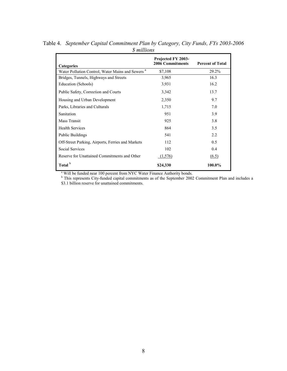<span id="page-13-0"></span>

| <b>Categories</b>                                            | Projected FY 2003-<br><b>2006 Commitments</b> | <b>Percent of Total</b> |
|--------------------------------------------------------------|-----------------------------------------------|-------------------------|
| Water Pollution Control, Water Mains and Sewers <sup>a</sup> | \$7,108                                       | 29.2%                   |
| Bridges, Tunnels, Highways and Streets                       | 3,965                                         | 16.3                    |
| Education (Schools)                                          | 3,931                                         | 16.2                    |
| Public Safety, Correction and Courts                         | 3,342                                         | 13.7                    |
| Housing and Urban Development                                | 2,350                                         | 9.7                     |
| Parks, Libraries and Culturals                               | 1,715                                         | 7.0                     |
| Sanitation                                                   | 951                                           | 3.9                     |
| Mass Transit                                                 | 925                                           | 3.8                     |
| <b>Health Services</b>                                       | 864                                           | 3.5                     |
| <b>Public Buildings</b>                                      | 541                                           | 2.2                     |
| Off-Street Parking, Airports, Ferries and Markets            | 112                                           | 0.5                     |
| <b>Social Services</b>                                       | 102                                           | 0.4                     |
| Reserve for Unattained Commitments and Other                 | (1,576)                                       | (6.5)                   |
| Total <sup>b</sup>                                           | \$24,330                                      | 100.0%                  |

Table 4. *September Capital Commitment Plan by Category, City Funds, FYs 2003-2006 \$ millions*  $\mathbf{r}$ 

<sup>a</sup> Will be funded near 100 percent from NYC Water Finance Authority bonds.<br><sup>b</sup> This represents City-funded capital commitments as of the September 2002 Commitment Plan and includes a \$3.1 billion reserve for unattained commitments.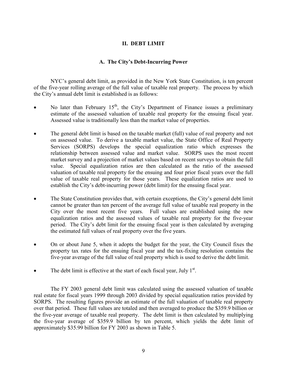## <span id="page-14-0"></span>**II. DEBT LIMIT**

## <span id="page-14-1"></span>**A. The City's Debt-Incurring Power**

NYC's general debt limit, as provided in the New York State Constitution, is ten percent of the five-year rolling average of the full value of taxable real property. The process by which the City's annual debt limit is established is as follows:

- No later than February  $15<sup>th</sup>$ , the City's Department of Finance issues a preliminary estimate of the assessed valuation of taxable real property for the ensuing fiscal year. Assessed value is traditionally less than the market value of properties.
- The general debt limit is based on the taxable market (full) value of real property and not on assessed value. To derive a taxable market value, the State Office of Real Property Services (SORPS) develops the special equalization ratio which expresses the relationship between assessed value and market value. SORPS uses the most recent market survey and a projection of market values based on recent surveys to obtain the full value. Special equalization ratios are then calculated as the ratio of the assessed valuation of taxable real property for the ensuing and four prior fiscal years over the full value of taxable real property for those years. These equalization ratios are used to establish the City's debt-incurring power (debt limit) for the ensuing fiscal year.
- The State Constitution provides that, with certain exceptions, the City's general debt limit cannot be greater than ten percent of the average full value of taxable real property in the City over the most recent five years. Full values are established using the new equalization ratios and the assessed values of taxable real property for the five-year period. The City's debt limit for the ensuing fiscal year is then calculated by averaging the estimated full values of real property over the five years.
- On or about June 5, when it adopts the budget for the year, the City Council fixes the property tax rates for the ensuing fiscal year and the tax-fixing resolution contains the five-year average of the full value of real property which is used to derive the debt limit.
- The debt limit is effective at the start of each fiscal year, July  $1<sup>st</sup>$ .

The FY 2003 general debt limit was calculated using the assessed valuation of taxable real estate for fiscal years 1999 through 2003 divided by special equalization ratios provided by SORPS. The resulting figures provide an estimate of the full valuation of taxable real property over that period. These full values are totaled and then averaged to produce the \$359.9 billion or the five-year average of taxable real property. The debt limit is then calculated by multiplying the five-year average of \$359.9 billion by ten percent, which yields the debt limit of approximately \$35.99 billion for FY 2003 as shown in Table 5.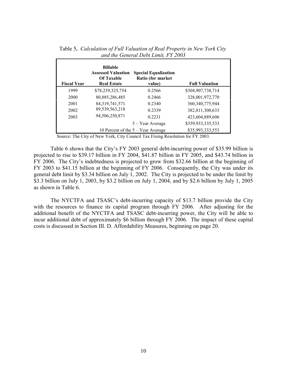| <b>Fiscal Year</b> | <b>Billable</b><br><b>Assessed Valuation</b><br><b>Of Taxable</b><br><b>Real Estate</b> | <b>Special Equalization</b><br>Ratio (for market<br>value) | <b>Full Valuation</b> |
|--------------------|-----------------------------------------------------------------------------------------|------------------------------------------------------------|-----------------------|
| 1999               | \$78,239,325,754                                                                        | 0.2566                                                     | \$304,907,738,714     |
| 2000               | 80,885,286,485                                                                          | 0.2466                                                     | 328,001,972,770       |
| 2001               | 84, 319, 741, 571                                                                       | 0.2340                                                     | 360, 340, 775, 944    |
| 2002               | 89,539,563,218                                                                          | 0.2339                                                     | 382,811,300,633       |
| 2003               | 94,506,250,871                                                                          | 0.2231                                                     | 423,604,889,606       |
|                    |                                                                                         | 5 – Year Average                                           | \$359,933,335,533     |
|                    |                                                                                         | 10 Percent of the $5 - Year$ Average                       | \$35,993,333,553      |

<span id="page-15-0"></span>Table 5**.** *Calculation of Full Valuation of Real Property in New York City and the General Debt Limit, FY 2003*

Source: The City of New York, City Council Tax Fixing Resolution for FY 2003.

Table 6 shows that the City's FY 2003 general debt-incurring power of \$35.99 billion is projected to rise to \$39.17 billion in FY 2004, \$41.87 billion in FY 2005, and \$43.74 billion in FY 2006. The City's indebtedness is projected to grow from \$32.66 billion at the beginning of FY 2003 to \$41.15 billion at the beginning of FY 2006. Consequently, the City was under its general debt limit by \$3.34 billion on July 1, 2002. The City is projected to be under the limit by \$3.3 billion on July 1, 2003, by \$3.2 billion on July 1, 2004, and by \$2.6 billion by July 1, 2005 as shown in Table 6.

The NYCTFA and TSASC's debt-incurring capacity of \$13.7 billion provide the City with the resources to finance its capital program through FY 2006. After adjusting for the additional benefit of the NYCTFA and TSASC debt-incurring power, the City will be able to incur additional debt of approximately \$6 billion through FY 2006*.* The impact of these capital costs is discussed in Section III. D. Affordability Measures, beginning on page 20.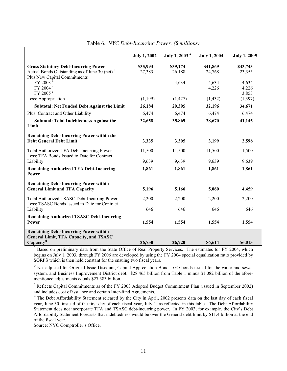|                                                                                                                                          | <b>July 1, 2002</b> | July 1, 2003 <sup>a</sup> | <b>July 1, 2004</b> | <b>July 1, 2005</b>     |
|------------------------------------------------------------------------------------------------------------------------------------------|---------------------|---------------------------|---------------------|-------------------------|
| <b>Gross Statutory Debt-Incurring Power</b><br>Actual Bonds Outstanding as of June 30 (net) <sup>b</sup><br>Plus New Capital Commitments | \$35,993<br>27,383  | \$39,174<br>26,188        | \$41,869<br>24,768  | \$43,743<br>23,355      |
| FY 2003 °<br>FY 2004 °<br>FY 2005 <sup>c</sup>                                                                                           |                     | 4,634                     | 4,634<br>4,226      | 4,634<br>4,226<br>3,853 |
| Less: Appropriation                                                                                                                      | (1,199)             | (1, 427)                  | (1, 432)            | (1, 397)                |
| <b>Subtotal: Net Funded Debt Against the Limit</b>                                                                                       | 26,184              | 29,395                    | 32,196              | 34,671                  |
| Plus: Contract and Other Liability                                                                                                       | 6,474               | 6,474                     | 6,474               | 6,474                   |
| <b>Subtotal: Total Indebtedness Against the</b><br>Limit                                                                                 | 32,658              | 35,869                    | 38,670              | 41,145                  |
| <b>Remaining Debt-Incurring Power within the</b><br><b>Debt General Debt Limit</b>                                                       | 3,335               | 3,305                     | 3,199               | 2,598                   |
| Total Authorized TFA Debt-Incurring Power<br>Less: TFA Bonds Issued to Date for Contract                                                 | 11,500              | 11,500                    | 11,500              | 11,500                  |
| Liability                                                                                                                                | 9,639               | 9,639                     | 9,639               | 9,639                   |
| <b>Remaining Authorized TFA Debt-Incurring</b><br>Power                                                                                  | 1,861               | 1,861                     | 1,861               | 1,861                   |
| <b>Remaining Debt-Incurring Power within</b><br><b>General Limit and TFA Capacity</b>                                                    | 5,196               | 5,166                     | 5,060               | 4,459                   |
| Total Authorized TSASC Debt-Incurring Power<br>Less: TSASC Bonds Issued to Date for Contract                                             | 2,200               | 2,200                     | 2,200               | 2,200                   |
| Liability                                                                                                                                | 646                 | 646                       | 646                 | 646                     |
| <b>Remaining Authorized TSASC Debt-Incurring</b><br>Power                                                                                | 1,554               | 1,554                     | 1,554               | 1,554                   |
| <b>Remaining Debt-Incurring Power within</b><br><b>General Limit, TFA Capacity, and TSASC</b>                                            |                     |                           |                     |                         |
| Capacity <sup>d</sup>                                                                                                                    | \$6,750             | \$6,720                   | \$6,614             | \$6,013                 |

<span id="page-16-0"></span>Table 6. *NYC Debt-Incurring Power, (\$ millions)*

<sup>a</sup> Based on preliminary data from the State Office of Real Property Services. The estimates for FY 2004, which begins on July 1, 2003, through FY 2006 are developed by using the FY 2004 special equalization ratio provided by SORPS which is then held constant for the ensuing two fiscal years.

<sup>b</sup> Net adjusted for Original Issue Discount, Capital Appreciation Bonds, GO bonds issued for the water and sewer system, and Business Improvement District debt. \$28.465 billion from Table 1 minus \$1.082 billion of the aforementioned adjustments equals \$27.383 billion.

<sup>c</sup> Reflects Capital Commitments as of the FY 2003 Adopted Budget Commitment Plan (issued in September 2002) and includes cost of issuance and certain Inter-fund Agreements.

d The Debt Affordability Statement released by the City in April, 2002 presents data on the last day of each fiscal year, June 30, instead of the first day of each fiscal year, July 1, as reflected in this table. The Debt Affordability Statement does not incorporate TFA and TSASC debt-incurring power. In FY 2003, for example, the City's Debt Affordability Statement forecasts that indebtedness would be over the General debt limit by \$11.4 billion at the end of the fiscal year.

Source: NYC Comptroller's Office.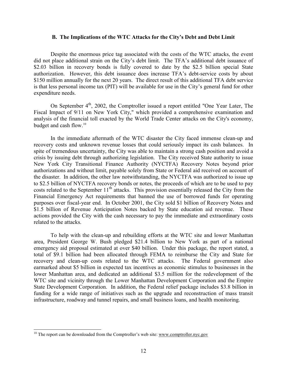#### <span id="page-17-0"></span>**B. The Implications of the WTC Attacks for the City's Debt and Debt Limit**

Despite the enormous price tag associated with the costs of the WTC attacks, the event did not place additional strain on the City's debt limit. The TFA's additional debt issuance of \$2.03 billion in recovery bonds is fully covered to date by the \$2.5 billion special State authorization. However, this debt issuance does increase TFA's debt-service costs by about \$150 million annually for the next 20 years. The direct result of this additional TFA debt service is that less personal income tax (PIT) will be available for use in the City's general fund for other expenditure needs.

On September 4<sup>th</sup>, 2002, the Comptroller issued a report entitled "One Year Later, The Fiscal Impact of 9/11 on New York City," which provided a comprehensive examination and analysis of the financial toll exacted by the World Trade Center attacks on the City's economy, budget and cash flow.<sup>10</sup>

In the immediate aftermath of the WTC disaster the City faced immense clean-up and recovery costs and unknown revenue losses that could seriously impact its cash balances. In spite of tremendous uncertainty, the City was able to maintain a strong cash position and avoid a crisis by issuing debt through authorizing legislation. The City received State authority to issue New York City Transitional Finance Authority (NYCTFA) Recovery Notes beyond prior authorizations and without limit, payable solely from State or Federal aid received on account of the disaster. In addition, the other law notwithstanding, the NYCTFA was authorized to issue up to \$2.5 billion of NYCTFA recovery bonds or notes, the proceeds of which are to be used to pay costs related to the September 11<sup>th</sup> attacks. This provision essentially released the City from the Financial Emergency Act requirements that banned the use of borrowed funds for operating purposes over fiscal-year end. In October 2001, the City sold \$1 billion of Recovery Notes and \$1.5 billion of Revenue Anticipation Notes backed by State education aid revenue. These actions provided the City with the cash necessary to pay the immediate and extraordinary costs related to the attacks.

To help with the clean-up and rebuilding efforts at the WTC site and lower Manhattan area, President George W. Bush pledged \$21.4 billion to New York as part of a national emergency aid proposal estimated at over \$40 billion. Under this package, the report stated, a total of \$9.1 billion had been allocated through FEMA to reimburse the City and State for recovery and clean-up costs related to the WTC attacks. The Federal government also earmarked about \$5 billion in expected tax incentives as economic stimulus to businesses in the lower Manhattan area, and dedicated an additional \$3.5 million for the redevelopment of the WTC site and vicinity through the Lower Manhattan Development Corporation and the Empire State Development Corporation. In addition, the Federal relief package includes \$3.8 billion in funding for a wide range of initiatives such as the upgrade and reconstruction of mass transit infrastructure, roadway and tunnel repairs, and small business loans, and health monitoring.

<span id="page-17-1"></span> $10$  The report can be downloaded from the Comptroller's web site: www.comptroller.nyc.gov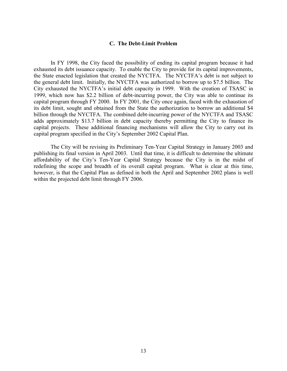## <span id="page-18-0"></span>**C. The Debt-Limit Problem**

In FY 1998, the City faced the possibility of ending its capital program because it had exhausted its debt issuance capacity. To enable the City to provide for its capital improvements, the State enacted legislation that created the NYCTFA. The NYCTFA's debt is not subject to the general debt limit. Initially, the NYCTFA was authorized to borrow up to \$7.5 billion. The City exhausted the NYCTFA's initial debt capacity in 1999. With the creation of TSASC in 1999, which now has \$2.2 billion of debt-incurring power, the City was able to continue its capital program through FY 2000. In FY 2001, the City once again, faced with the exhaustion of its debt limit, sought and obtained from the State the authorization to borrow an additional \$4 billion through the NYCTFA. The combined debt-incurring power of the NYCTFA and TSASC adds approximately \$13.7 billion in debt capacity thereby permitting the City to finance its capital projects. These additional financing mechanisms will allow the City to carry out its capital program specified in the City's September 2002 Capital Plan.

The City will be revising its Preliminary Ten-Year Capital Strategy in January 2003 and publishing its final version in April 2003. Until that time, it is difficult to determine the ultimate affordability of the City's Ten-Year Capital Strategy because the City is in the midst of redefining the scope and breadth of its overall capital program. What is clear at this time, however, is that the Capital Plan as defined in both the April and September 2002 plans is well within the projected debt limit through FY 2006.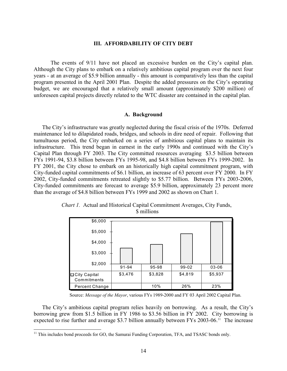## <span id="page-19-0"></span>**III. AFFORDABILITY OF CITY DEBT**

The events of 9/11 have not placed an excessive burden on the City's capital plan. Although the City plans to embark on a relatively ambitious capital program over the next four years - at an average of \$5.9 billion annually - this amount is comparatively less than the capital program presented in the April 2001 Plan. Despite the added pressures on the City's operating budget, we are encouraged that a relatively small amount (approximately \$200 million) of unforeseen capital projects directly related to the WTC disaster are contained in the capital plan.

#### <span id="page-19-1"></span>**A. Background**

The City's infrastructure was greatly neglected during the fiscal crisis of the 1970s. Deferred maintenance led to dilapidated roads, bridges, and schools in dire need of repair. Following that tumultuous period, the City embarked on a series of ambitious capital plans to maintain its infrastructure. This trend began in earnest in the early 1990s and continued with the City's Capital Plan through FY 2003. The City committed resources averaging \$3.5 billion between FYs 1991-94, \$3.8 billion between FYs 1995-98, and \$4.8 billion between FYs 1999-2002. In FY 2001, the City chose to embark on an historically high capital commitment program, with City-funded capital commitments of \$6.1 billion, an increase of 63 percent over FY 2000. In FY 2002, City-funded commitments retreated slightly to \$5.77 billion. Between FYs 2003-2006, City-funded commitments are forecast to average \$5.9 billion, approximately 23 percent more than the average of \$4.8 billion between FYs 1999 and 2002 as shown on Chart 1.

<span id="page-19-2"></span>

*Chart 1.* Actual and Historical Capital Commitment Averages, City Funds, \$ millions

Source: *Message of the Mayor*, various FYs 1989-2000 and FY 03 April 2002 Capital Plan.

The City's ambitious capital program relies heavily on borrowing. As a result, the City's borrowing grew from \$1.5 billion in FY 1986 to \$3.56 billion in FY 2002. City borrowing is expected to rise further and average \$3.7 billion annually between FYs 2003-06.<sup>11</sup> The increase

<span id="page-19-3"></span><sup>&</sup>lt;sup>11</sup> This includes bond proceeds for GO, the Samurai Funding Corporation, TFA, and TSASC bonds only.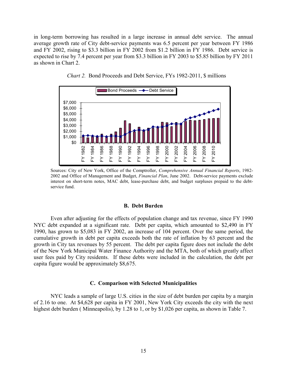in long-term borrowing has resulted in a large increase in annual debt service. The annual average growth rate of City debt-service payments was 6.5 percent per year between FY 1986 and FY 2002, rising to \$3.3 billion in FY 2002 from \$1.2 billion in FY 1986. Debt service is expected to rise by 7.4 percent per year from \$3.3 billion in FY 2003 to \$5.85 billion by FY 2011 as shown in Chart 2.



<span id="page-20-2"></span>*Chart 2.* Bond Proceeds and Debt Service, FYs 1982-2011, \$ millions

Sources: City of New York, Office of the Comptroller, *Comprehensive Annual Financial Reports*, 1982- 2002 and Office of Management and Budget, *Financial Plan*, June 2002. Debt-service payments exclude interest on short-term notes, MAC debt, lease-purchase debt, and budget surpluses prepaid to the debtservice fund.

### <span id="page-20-0"></span>**B. Debt Burden**

Even after adjusting for the effects of population change and tax revenue, since FY 1990 NYC debt expanded at a significant rate. Debt per capita, which amounted to \$2,490 in FY 1990, has grown to \$5,083 in FY 2002, an increase of 104 percent. Over the same period, the cumulative growth in debt per capita exceeds both the rate of inflation by 63 percent and the growth in City tax revenues by 55 percent. The debt per capita figure does not include the debt of the New York Municipal Water Finance Authority and the MTA, both of which greatly affect user fees paid by City residents. If these debts were included in the calculation, the debt per capita figure would be approximately \$8,675.

#### <span id="page-20-1"></span>**C. Comparison with Selected Municipalities**

NYC leads a sample of large U.S. cities in the size of debt burden per capita by a margin of 2.16 to one. At \$4,628 per capita in FY 2001, New York City exceeds the city with the next highest debt burden (Minneapolis), by 1.28 to 1, or by \$1,026 per capita, as shown in Table 7.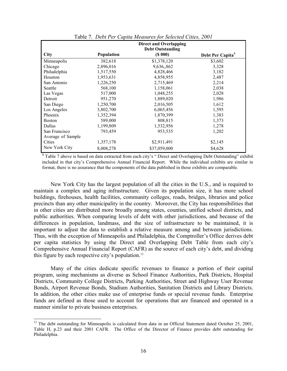|                   |                   | <b>Direct and Overlapping</b> |                              |
|-------------------|-------------------|-------------------------------|------------------------------|
|                   |                   | <b>Debt Outstanding</b>       |                              |
| <b>City</b>       | <b>Population</b> | (S 000)                       | Debt Per Capita <sup>a</sup> |
| Minneapolis       | 382,618           | \$1,378,120                   | \$3,602                      |
| Chicago           | 2,896,016         | 9,636,,862                    | 3,328                        |
| Philadelphia      | 1,517,550         | 4,828,466                     | 3,182                        |
| Houston           | 1,953,631         | 4,858,955                     | 2,487                        |
| San Antonio       | 1,226,250         | 2,715,469                     | 2,214                        |
| Seattle           | 568,100           | 1,158,061                     | 2,038                        |
| Las Vegas         | 517,000           | 1,048,255                     | 2,028                        |
| Detroit           | 951,270           | 1,889,020                     | 1,986                        |
| San Diego         | 1,250,700         | 2,016,505                     | 1,612                        |
| Los Angeles       | 3,802,700         | 6,065,456                     | 1,595                        |
| Phoenix           | 1,352,394         | 1,870,399                     | 1,383                        |
| <b>Boston</b>     | 589,000           | 808,815                       | 1,373                        |
| Dallas            | 1,199,809         | 1,532,956                     | 1,278                        |
| San Francisco     | 793,459           | 953,535                       | 1,202                        |
| Average of Sample |                   |                               |                              |
| Cities            | 1,357,178         | \$2,911,491                   | \$2,145                      |
| New York City     | 8,008,278         | \$37,059,000                  | \$4,628                      |

<span id="page-21-0"></span>Table 7. *Debt Per Capita Measures for Selected Cities, 2001*

<sup>a</sup> Table 7 above is based on data extracted from each city's "Direct and Overlapping Debt Outstanding" exhibit included in that city's Comprehensive Annual Financial Report. While the individual exhibits are similar in format, there is no assurance that the components of the data published in those exhibits are comparable.

New York City has the largest population of all the cities in the U.S., and is required to maintain a complex and aging infrastructure. Given its population size, it has more school buildings, firehouses, health facilities, community colleges, roads, bridges, libraries and police precincts than any other municipality in the country. Moreover, the City has responsibilities that in other cities are distributed more broadly among states, counties, unified school districts, and public authorities. When comparing levels of debt with other jurisdictions, and because of the differences in population, landmass, and the size of infrastructure to be maintained, it is important to adjust the data to establish a relative measure among and between jurisdictions. Thus, with the exception of Minneapolis and Philadelphia, the Comptroller's Office derives debt per capita statistics by using the Direct and Overlapping Debt Table from each city's Comprehensive Annual Financial Report (CAFR) as the source of each city's debt, and dividing this figure by each respective city's population.<sup>[12](#page-21-1)</sup>

Many of the cities dedicate specific revenues to finance a portion of their capital program, using mechanisms as diverse as School Finance Authorities, Park Districts, Hospital Districts, Community College Districts, Parking Authorities, Street and Highway User Revenue Bonds, Airport Revenue Bonds, Stadium Authorities, Sanitation Districts and Library Districts. In addition, the other cities make use of enterprise funds or special revenue funds. Enterprise funds are defined as those used to account for operations that are financed and operated in a manner similar to private business enterprises.

<span id="page-21-1"></span> $12$  The debt outstanding for Minneapolis is calculated from data in an Official Statement dated October 25, 2001, Table H, p.23 and their 2001 CAFR. The Office of the Director of Finance provides debt outstanding for Philadelphia.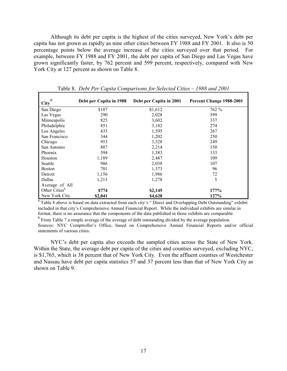Although its debt per capita is the highest of the cities surveyed, New York's debt per capita has not grown as rapidly as nine other cities between FY 1988 and FY 2001. It also is 50 percentage points below the average increase of the cities surveyed over that period. For example, between FY 1988 and FY 2001, the debt per capita of San Diego and Las Vegas have grown significantly faster, by 762 percent and 599 percent, respectively, compared with New York City at 127 percent as shown on Table 8.

| a<br><b>City</b>          | Debt per Capita in 1988 | Debt per Capita in 2001 | Percent Change 1988-2001 |
|---------------------------|-------------------------|-------------------------|--------------------------|
| San Diego                 | \$187                   | \$1,612                 | 762 %                    |
| Las Vegas                 | 290                     | 2,028                   | 599                      |
| Minneapolis               | 825                     | 3,602                   | 337                      |
| Philadelphia              | 851                     | 3,182                   | 274                      |
| Los Angeles               | 435                     | 1,595                   | 267                      |
| San Francisco             | 344                     | 1,202                   | 250                      |
| Chicago                   | 953                     | 3,328                   | 249                      |
| San Antonio               | 887                     | 2,214                   | 150                      |
| Phoenix                   | 594                     | 1,383                   | 133                      |
| Houston                   | 1,189                   | 2,487                   | 109                      |
| Seattle                   | 986                     | 2,038                   | 107                      |
| <b>Boston</b>             | 701                     | 1,373                   | 96                       |
| Detroit                   | 1,156                   | 1,986                   | 72                       |
| Dallas                    | 1,213                   | 1,278                   | 5                        |
| Average of All            |                         |                         |                          |
| Other Cities <sup>b</sup> | \$774                   | \$2,145                 | 177%                     |
| New York City             | \$2,041                 | \$4,628                 | 127%                     |

<span id="page-22-0"></span>Table 8. *Debt Per Capita Comparisons for Selected Cities – 1988 and 2001*

<sup>a</sup> Table 8 above is based on data extracted from each city's "Direct and Overlapping Debt Outstanding" exhibit included in that city's Comprehensive Annual Financial Report. While the individual exhibits are similar in format, there is no assurance that the components of the data published in those exhibits are comparable.

<sup>b</sup> From Table 7 a simple average of the average of debt outstanding divided by the average population. Sources: NYC Comptroller's Office, based on Comprehensive Annual Financial Reports and/or official statements of various cities.

NYC's debt per capita also exceeds the sampled cities across the State of New York. Within the State, the average debt per capita of the cities and counties surveyed, excluding NYC, is \$1,765, which is 38 percent that of New York City. Even the affluent counties of Westchester and Nassau have debt per capita statistics 57 and 37 percent less than that of New York City as shown on Table 9.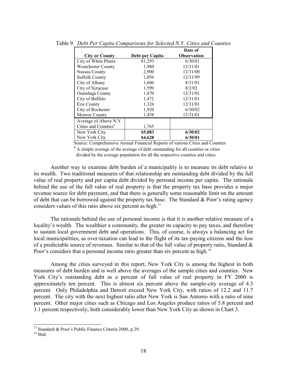| <b>City or County</b>            | Debt per Capita | Date of<br><b>Observation</b> |  |
|----------------------------------|-----------------|-------------------------------|--|
| City of White Plains             | \$1,293         | 6/30/01                       |  |
| <b>Westchester County</b>        | 1,980           | 12/31/01                      |  |
| Nassau County                    | 2,900           | 12/31/00                      |  |
| <b>Suffolk County</b>            | 1,056           | 12/31/99                      |  |
| City of Albany                   | 1,606           | 8/31/01                       |  |
| City of Syracuse                 | 1,599           | 8/2/02                        |  |
| Onandaga County                  | 1,870           | 12/31/01                      |  |
| City of Buffalo                  | 1,472           | 12/31/01                      |  |
| Erie County                      | 1,326           | 12/31/01                      |  |
| City of Rochester                | 1,920           | 6/30/02                       |  |
| Monroe County                    | 1,458           | 12/31/01                      |  |
| Average of Above N.Y.            |                 |                               |  |
| Cities and Counties <sup>a</sup> | 1,765           |                               |  |
| New York City                    | \$5,083         | 6/30/02                       |  |
| New York City                    | \$4,628         | 6/30/01                       |  |

<span id="page-23-0"></span>Table 9*. Debt Per Capita Comparisons for Selected N.Y. Cities and Counties*

Source: Comprehensive Annual Financial Reports of various Cities and Counties

<sup>a</sup> A simple average of the average of debt outstanding for all counties or cities divided by the average population for all the respective counties and cities.

Another way to examine debt burden of a municipality is to measure its debt relative to its wealth. Two traditional measures of that relationship are outstanding debt divided by the full value of real property and per capita debt divided by personal income per capita. The rationale behind the use of the full value of real property is that the property tax base provides a major revenue source for debt payment, and that there is generally some reasonable limit on the amount of debt that can be borrowed against the property tax base. The Standard  $\&$  Poor's rating agency considers values of this ratio above six percent as high.<sup>[13](#page-23-1)</sup>

The rationale behind the use of personal income is that it is another relative measure of a locality's wealth. The wealthier a community, the greater its capacity to pay taxes, and therefore to sustain local government debt and operations. This, of course, is always a balancing act for local municipalities, as over-taxation can lead to the flight of its tax-paying citizens and the loss of a predictable source of revenues. Similar to that of the full value of property ratio, Standard & Poor's considers that a personal income ratio greater than six percent as high.<sup>[14](#page-23-2)</sup>

Among the cities surveyed in this report, New York City is among the highest in both measures of debt burden and is well above the averages of the sample cities and counties. New York City's outstanding debt as a percent of full value of real property in FY 2000 is approximately ten percent. This is almost six percent above the sample-city average of 4.3 percent. Only Philadelphia and Detroit exceed New York City, with ratios of 12.2 and 11.7 percent. The city with the next highest ratio after New York is San Antonio with a ratio of nine percent. Other major cities such as Chicago and Los Angeles produce ratios of 5.8 percent and 3.1 percent respectively; both considerably lower than New York City as shown in Chart 3.

<span id="page-23-1"></span><sup>&</sup>lt;sup>13</sup> Standard & Poor's Public Finance Criteria 2000, p.29.<br><sup>14</sup> Ibid.

<span id="page-23-2"></span>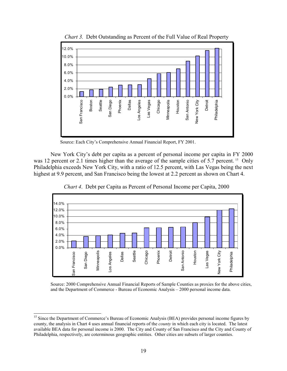

<span id="page-24-0"></span>*Chart 3.* Debt Outstanding as Percent of the Full Value of Real Property

Source: Each City's Comprehensive Annual Financial Report, FY 2001.

New York City's debt per capita as a percent of personal income per capita in FY 2000 was 12 percent or 2.1 times higher than the average of the sample cities of 5.7 percent. <sup>15</sup> Only Philadelphia exceeds New York City, with a ratio of 12.5 percent, with Las Vegas being the next highest at 9.9 percent, and San Francisco being the lowest at 2.2 percent as shown on Chart 4.



<span id="page-24-1"></span>*Chart 4*. Debt per Capita as Percent of Personal Income per Capita, 2000

Source: 2000 Comprehensive Annual Financial Reports of Sample Counties as proxies for the above cities, and the Department of Commerce - Bureau of Economic Analysis – 2000 personal income data.

l

<span id="page-24-2"></span><sup>&</sup>lt;sup>15</sup> Since the Department of Commerce's Bureau of Economic Analysis (BEA) provides personal income figures by county, the analysis in Chart 4 uses annual financial reports of the *county* in which each city is located. The latest available BEA data for personal income is 2000. The City and County of San Francisco and the City and County of Philadelphia, respectively, are coterminous geographic entities. Other cities are subsets of larger counties.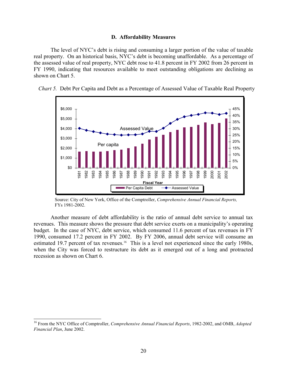## <span id="page-25-0"></span>**D. Affordability Measures**

The level of NYC's debt is rising and consuming a larger portion of the value of taxable real property. On an historical basis, NYC's debt is becoming unaffordable. As a percentage of the assessed value of real property, NYC debt rose to 41.8 percent in FY 2002 from 26 percent in FY 1990, indicating that resources available to meet outstanding obligations are declining as shown on Chart 5.



<span id="page-25-1"></span>*Chart 5.* Debt Per Capita and Debt as a Percentage of Assessed Value of Taxable Real Property

Source: City of New York, Office of the Comptroller, *Comprehensive Annual Financial Reports,*  FYs 1981-2002.

Another measure of debt affordability is the ratio of annual debt service to annual tax revenues. This measure shows the pressure that debt service exerts on a municipality's operating budget. In the case of NYC, debt service, which consumed 11.6 percent of tax revenues in FY 1990, consumed 17.2 percent in FY 2002. By FY 2006, annual debt service will consume an estimated 19.7 percent of tax revenues.<sup>16</sup> This is a level not experienced since the early 1980s, when the City was forced to restructure its debt as it emerged out of a long and protracted recession as shown on Chart 6.

<span id="page-25-2"></span><sup>16</sup> From the NYC Office of Comptroller, *Comprehensive Annual Financial Reports*, 1982-2002, and OMB, *Adopted Financial Plan*, June 2002.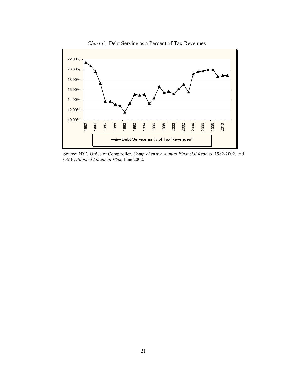

<span id="page-26-0"></span>*Chart 6.* Debt Service as a Percent of Tax Revenues

Source: NYC Office of Comptroller, *Comprehensive Annual Financial Reports*, 1982-2002, and OMB, *Adopted Financial Plan*, June 2002.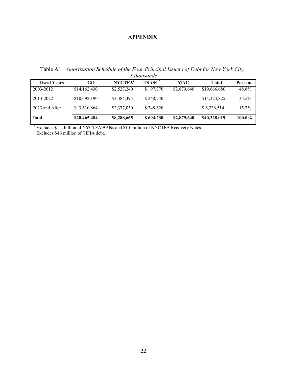## <span id="page-27-1"></span><span id="page-27-0"></span>**APPENDIX**

Table A1. *Amortization Schedule of the Four Principal Issuers of Debt for New York City, \$ thousands*

| <b>Fiscal Years</b> | GO           | N <sup>a</sup> | <b>TSASC<sup>b</sup></b> | <b>MAC</b>  | Total        | Percent |
|---------------------|--------------|----------------|--------------------------|-------------|--------------|---------|
| 2003-2012           | \$14,162,430 | \$2,527,240    | \$97,370                 | \$2,879,640 | \$19,666,680 | 48.8%   |
| 2013-2022           | \$10,692,190 | \$3,384,395    | \$248,240                |             | \$14,324,825 | 35.5%   |
| 2023 and After      | \$3,610,864  | \$2,377,030    | \$348,620                |             | \$6,336,514  | 15.7%   |
| Total               | \$28,465,484 | \$8,288,665    | \$694,230                | \$2,879,640 | \$40,328,019 | 100.0%  |

<sup>a</sup> Excludes \$1.2 billion of NYCTFA BANs and \$1.0 billion of NYCTFA Recovery Notes.<br><sup>b</sup> Excludes \$46 million of TIFIA debt.